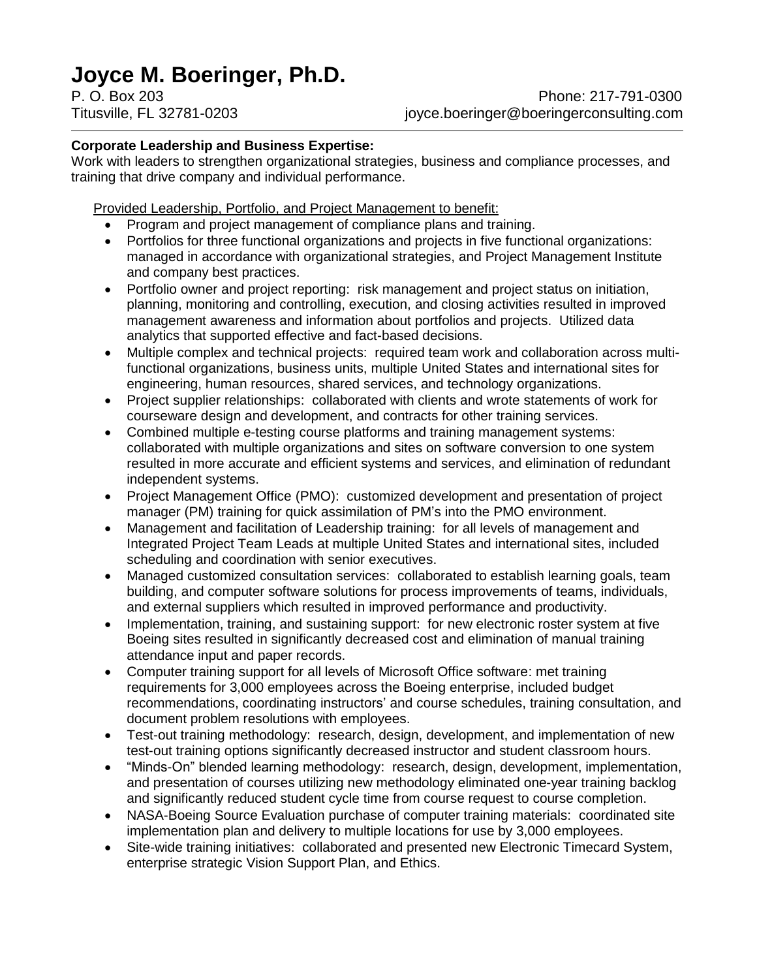# **Joyce M. Boeringer, Ph.D.**

## **Corporate Leadership and Business Expertise:**

Work with leaders to strengthen organizational strategies, business and compliance processes, and training that drive company and individual performance.

Provided Leadership, Portfolio, and Project Management to benefit:

- Program and project management of compliance plans and training.
- Portfolios for three functional organizations and projects in five functional organizations: managed in accordance with organizational strategies, and Project Management Institute and company best practices.
- Portfolio owner and project reporting: risk management and project status on initiation, planning, monitoring and controlling, execution, and closing activities resulted in improved management awareness and information about portfolios and projects. Utilized data analytics that supported effective and fact-based decisions.
- Multiple complex and technical projects: required team work and collaboration across multifunctional organizations, business units, multiple United States and international sites for engineering, human resources, shared services, and technology organizations.
- Project supplier relationships: collaborated with clients and wrote statements of work for courseware design and development, and contracts for other training services.
- Combined multiple e-testing course platforms and training management systems: collaborated with multiple organizations and sites on software conversion to one system resulted in more accurate and efficient systems and services, and elimination of redundant independent systems.
- Project Management Office (PMO): customized development and presentation of project manager (PM) training for quick assimilation of PM's into the PMO environment.
- Management and facilitation of Leadership training: for all levels of management and Integrated Project Team Leads at multiple United States and international sites, included scheduling and coordination with senior executives.
- Managed customized consultation services: collaborated to establish learning goals, team building, and computer software solutions for process improvements of teams, individuals, and external suppliers which resulted in improved performance and productivity.
- Implementation, training, and sustaining support: for new electronic roster system at five Boeing sites resulted in significantly decreased cost and elimination of manual training attendance input and paper records.
- Computer training support for all levels of Microsoft Office software: met training requirements for 3,000 employees across the Boeing enterprise, included budget recommendations, coordinating instructors' and course schedules, training consultation, and document problem resolutions with employees.
- Test-out training methodology: research, design, development, and implementation of new test-out training options significantly decreased instructor and student classroom hours.
- "Minds-On" blended learning methodology: research, design, development, implementation, and presentation of courses utilizing new methodology eliminated one-year training backlog and significantly reduced student cycle time from course request to course completion.
- NASA-Boeing Source Evaluation purchase of computer training materials: coordinated site implementation plan and delivery to multiple locations for use by 3,000 employees.
- Site-wide training initiatives: collaborated and presented new Electronic Timecard System, enterprise strategic Vision Support Plan, and Ethics.